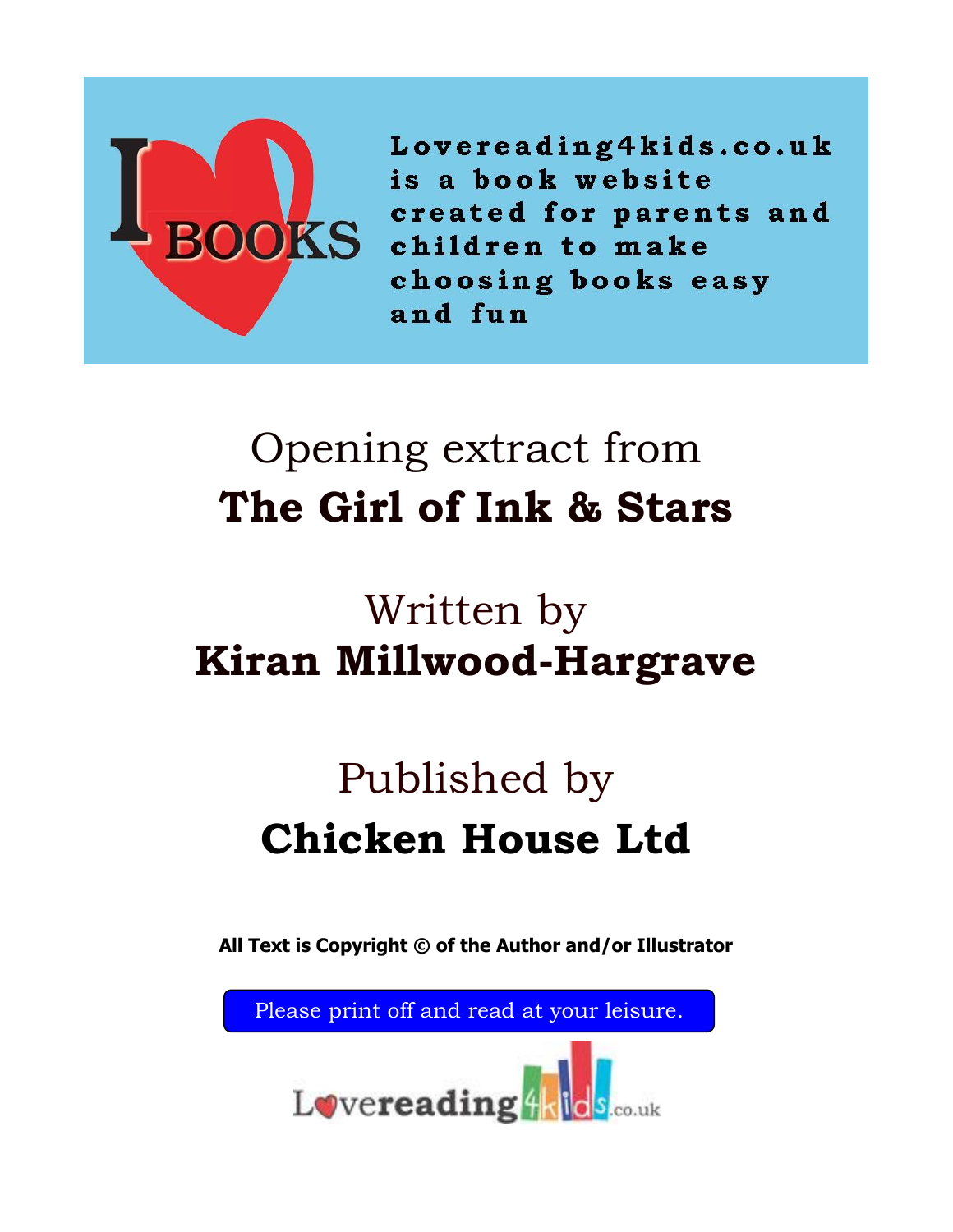

Lovereading4kids.co.uk is a book website created for parents and children to make choosing books easy and fun

# Opening extract from **The Girl of Ink & Stars**

## Written by **Kiran Millwood-Hargrave**

# Published by **Chicken House Ltd**

**All Text is Copyright © of the Author and/or Illustrator**

Please print off and read at your leisure.

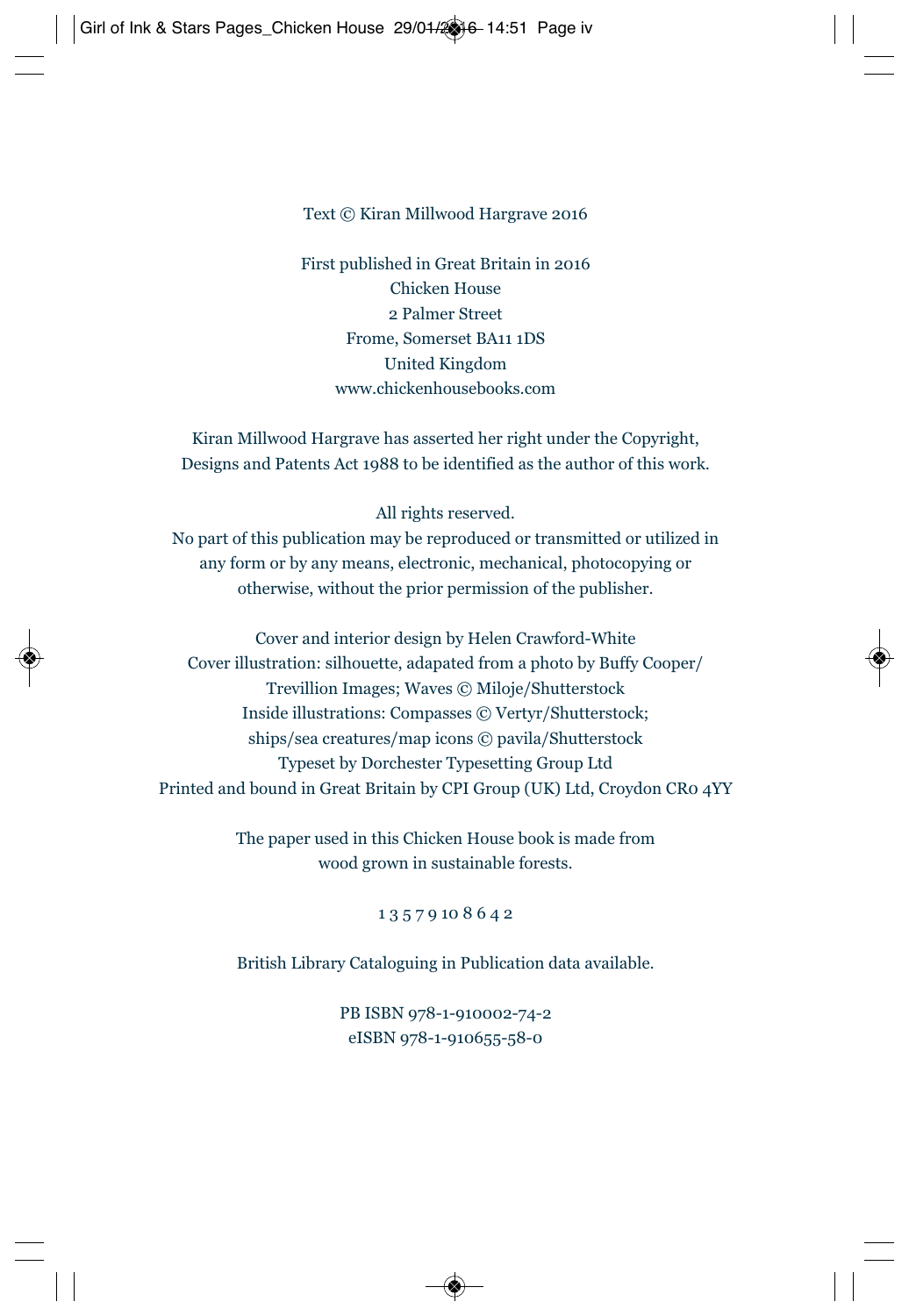#### Text © Kiran Millwood Hargrave 2016

First published in Great Britain in 2016 Chicken House 2 Palmer Street Frome, Somerset BA11 1DS United Kingdom www.chickenhousebooks.com

Kiran Millwood Hargrave has asserted her right under the Copyright, Designs and Patents Act 1988 to be identified as the author of this work.

#### All rights reserved.

No part of this publication may be reproduced or transmitted or utilized in any form or by any means, electronic, mechanical, photocopying or otherwise, without the prior permission of the publisher.

Cover and interior design by Helen Crawford-White Cover illustration: silhouette, adapated from a photo by Buffy Cooper/ Trevillion Images; Waves © Miloje/Shutterstock Inside illustrations: Compasses © Vertyr/Shutterstock; ships/sea creatures/map icons © pavila/Shutterstock Typeset by Dorchester Typesetting Group Ltd Printed and bound in Great Britain by CPI Group (UK) Ltd, Croydon CR0 4YY

> The paper used in this Chicken House book is made from wood grown in sustainable forests.

#### 1 3 5 7 9 10 8 6 4 2

British Library Cataloguing in Publication data available.

PB ISBN 978-1-910002-74-2 eISBN 978-1-910655-58-0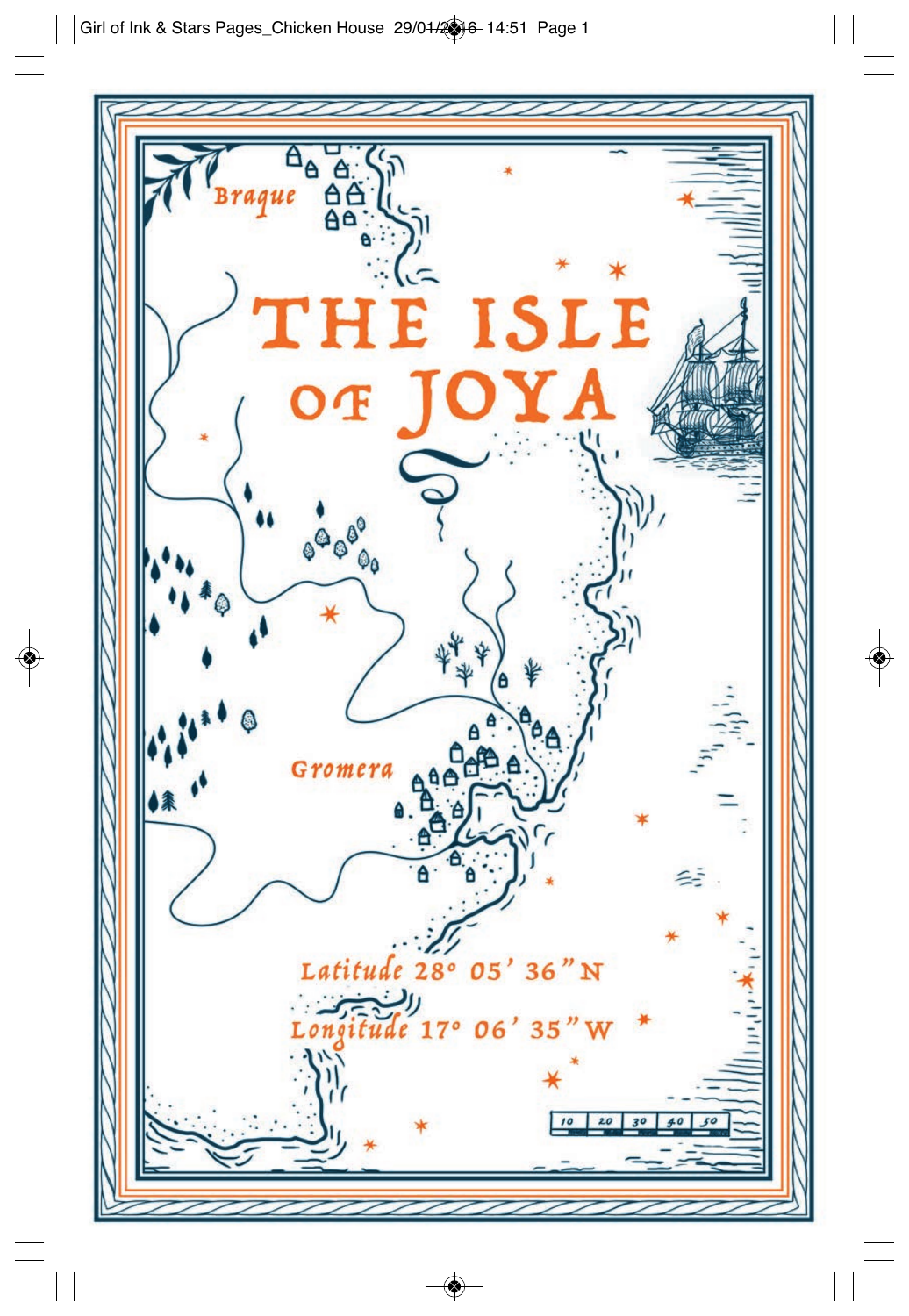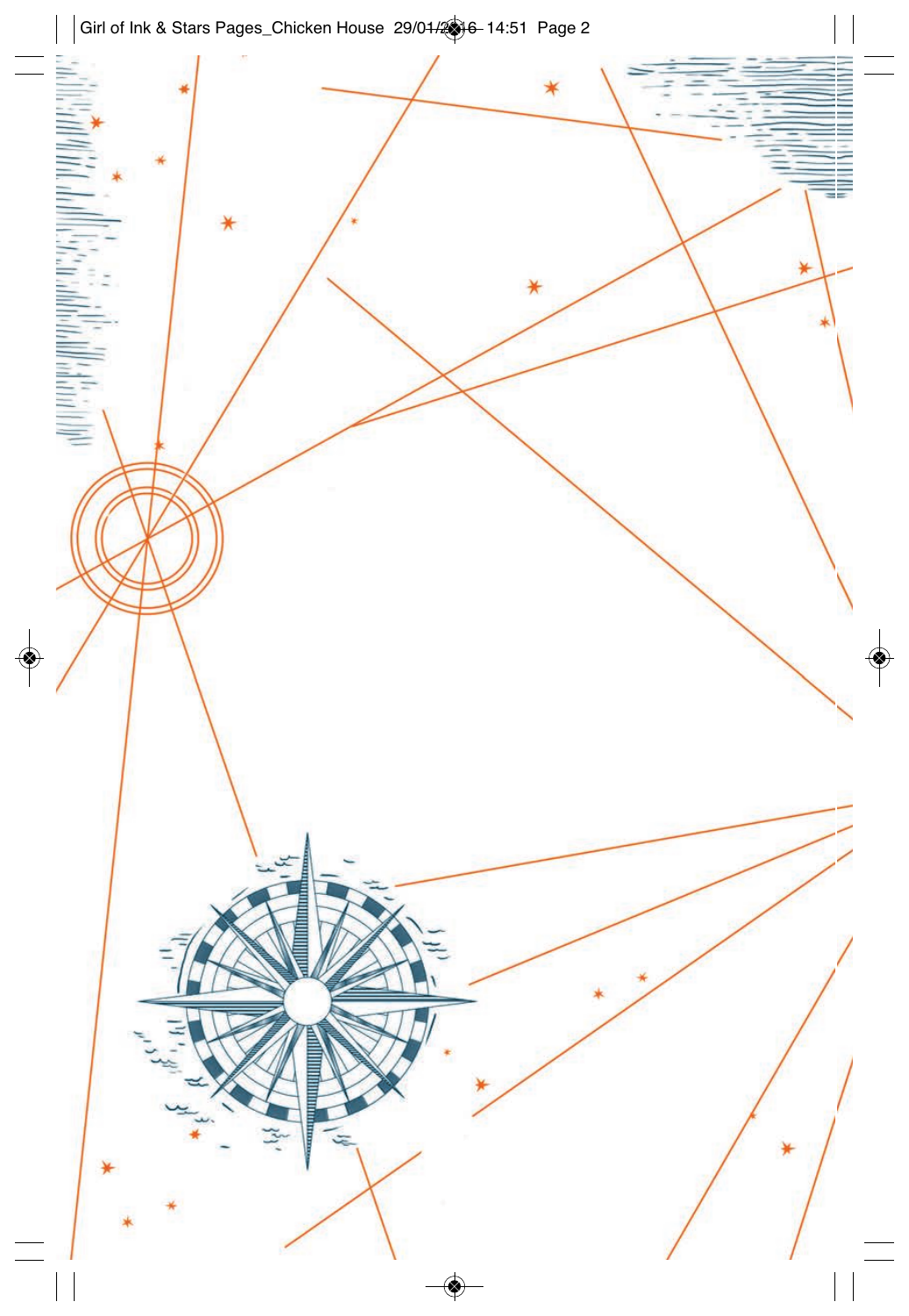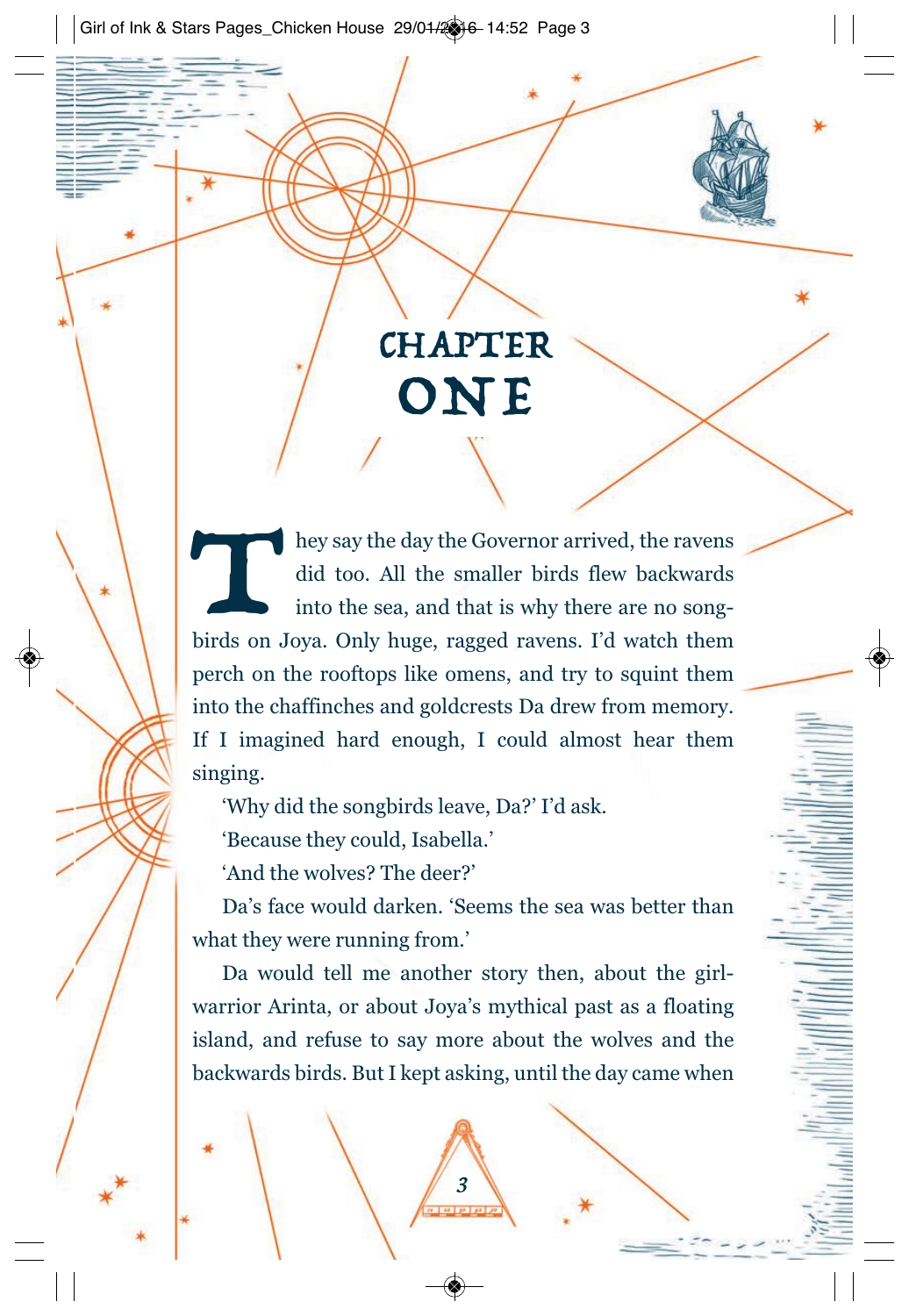### **CHAPTER** ONE

hey say the day the Governor arrived, the ravens did too. All the smaller birds flew backwards into the sea, and that is why there are no songbirds on Joya. Only huge, ragged ravens. I'd watch them hey say the day the Governor arrived, the ravens<br>did too. All the smaller birds flew backwards<br>into the sea, and that is why there are no song-<br>birds on Joya. Only huge, ragged ravens. I'd watch them<br>perch on the rooftops into the chaffinches and goldcrests Da drew from memory. If I imagined hard enough, I could almost hear them singing.

'Why did the songbirds leave, Da?' I'd ask.

'Because they could, Isabella.'

'And the wolves? The deer?'

Da's face would darken. 'Seems the sea was better than what they were running from.'

Da would tell me another story then, about the girlwarrior Arinta, or about Joya's mythical past as a floating island, and refuse to say more about the wolves and the backwards birds. But I kept asking, until the day came when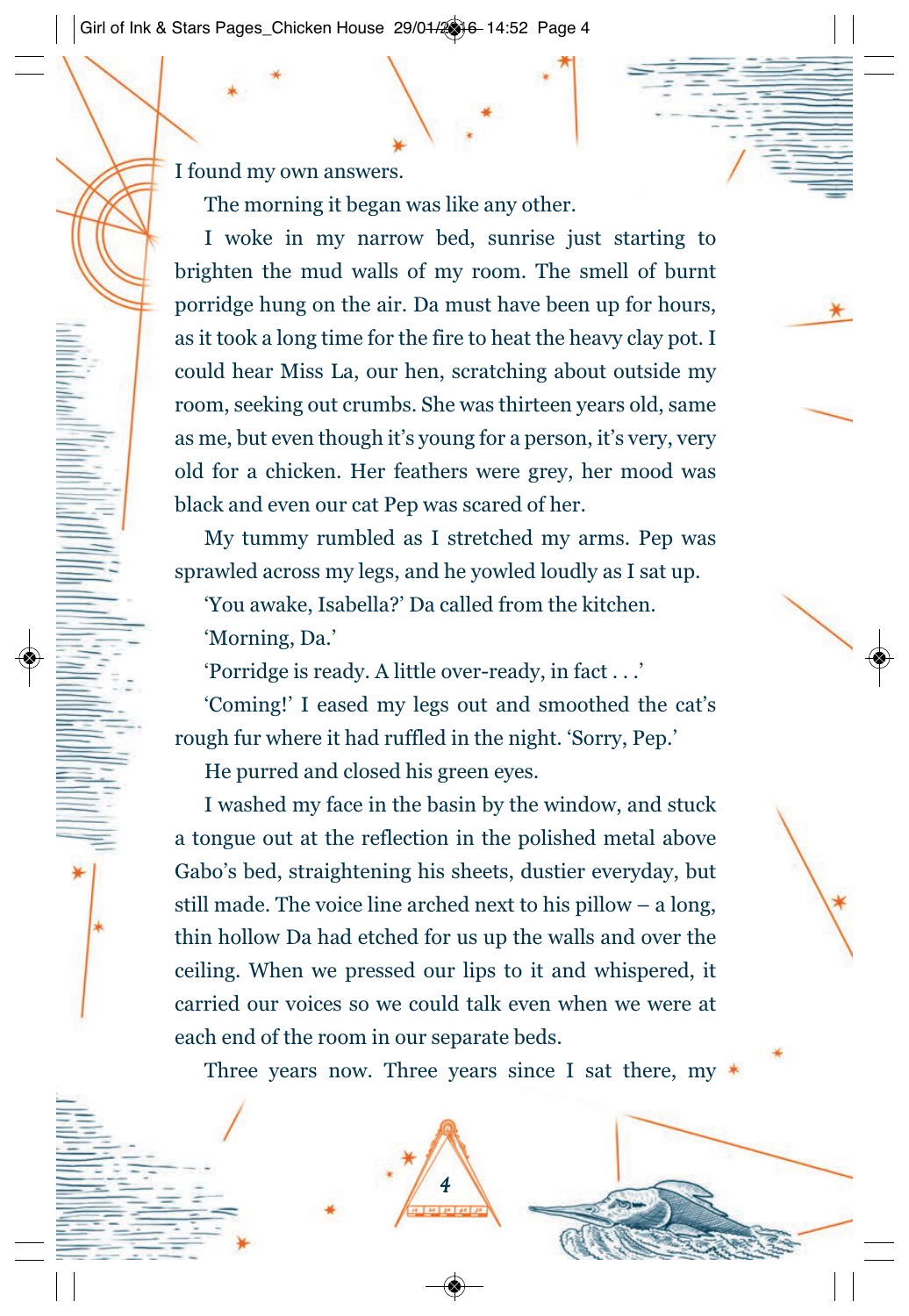I found my own answers.

The morning it began was like any other.

I woke in my narrow bed, sunrise just starting to brighten the mud walls of my room. The smell of burnt porridge hung on the air. Da must have been up for hours, as it took a long time for the fire to heat the heavy clay pot. I could hear Miss La, our hen, scratching about outside my room, seeking out crumbs. She was thirteen years old, same as me, but even though it's young for a person, it's very, very old for a chicken. Her feathers were grey, her mood was black and even our cat Pep was scared of her.

My tummy rumbled as I stretched my arms. Pep was sprawled across my legs, and he yowled loudly as I sat up.

'You awake, Isabella?' Da called from the kitchen. 'Morning, Da.'

'Porridge is ready. A little over-ready, in fact . . .'

'Coming!' I eased my legs out and smoothed the cat's rough fur where it had ruffled in the night. 'Sorry, Pep.'

He purred and closed his green eyes.

I washed my face in the basin by the window, and stuck a tongue out at the reflection in the polished metal above Gabo's bed, straightening his sheets, dustier everyday, but still made. The voice line arched next to his pillow – a long, thin hollow Da had etched for us up the walls and over the ceiling. When we pressed our lips to it and whispered, it carried our voices so we could talk even when we were at each end of the room in our separate beds.

Three years now. Three years since I sat there, my  $*$ 

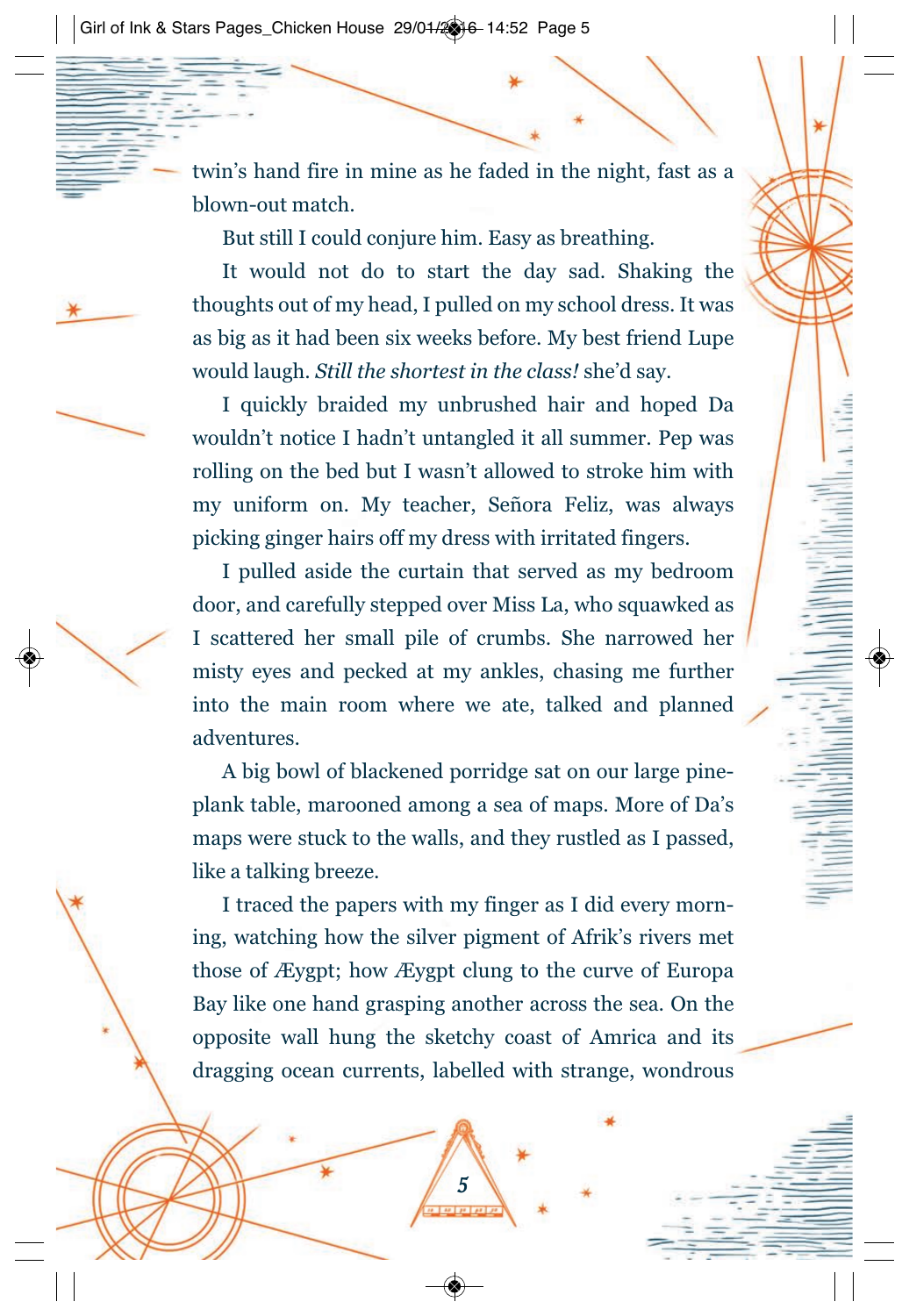twin's hand fire in mine as he faded in the night, fast as a blown-out match.

But still I could conjure him. Easy as breathing.

It would not do to start the day sad. Shaking the thoughts out of my head, I pulled on my school dress. It was as big as it had been six weeks before. My best friend Lupe would laugh. *Still the shortest in the class!* she'd say.

I quickly braided my unbrushed hair and hoped Da wouldn't notice I hadn't untangled it all summer. Pep was rolling on the bed but I wasn't allowed to stroke him with my uniform on. My teacher, Señora Feliz, was always picking ginger hairs off my dress with irritated fingers.

I pulled aside the curtain that served as my bedroom door, and carefully stepped over Miss La, who squawked as I scattered her small pile of crumbs. She narrowed her misty eyes and pecked at my ankles, chasing me further into the main room where we ate, talked and planned adventures.

A big bowl of blackened porridge sat on our large pineplank table, marooned among a sea of maps. More of Da's maps were stuck to the walls, and they rustled as I passed, like a talking breeze.

I traced the papers with my finger as I did every morning, watching how the silver pigment of Afrik's rivers met those of Æygpt; how Æygpt clung to the curve of Europa Bay like one hand grasping another across the sea. On the opposite wall hung the sketchy coast of Amrica and its dragging ocean currents, labelled with strange, wondrous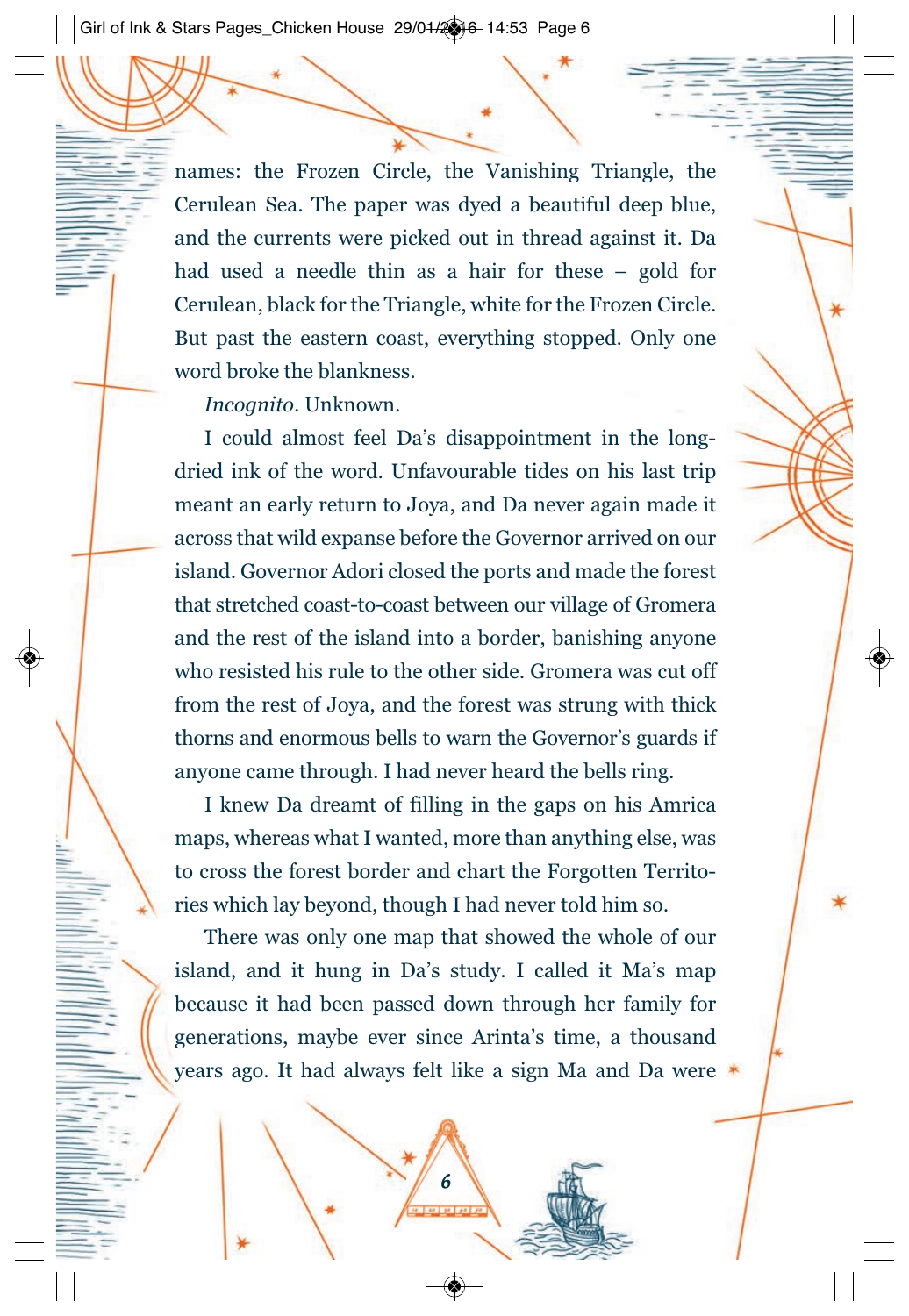names: the Frozen Circle, the Vanishing Triangle, the Cerulean Sea. The paper was dyed a beautiful deep blue, and the currents were picked out in thread against it. Da had used a needle thin as a hair for these – gold for Cerulean, black for the Triangle, white for the Frozen Circle. But past the eastern coast, everything stopped. Only one word broke the blankness.

*Incognito*. Unknown.

I could almost feel Da's disappointment in the longdried ink of the word. Unfavourable tides on his last trip meant an early return to Joya, and Da never again made it across that wild expanse before the Governor arrived on our island. Governor Adori closed the ports and made the forest that stretched coast-to-coast between our village of Gromera and the rest of the island into a border, banishing anyone who resisted his rule to the other side. Gromera was cut off from the rest of Joya, and the forest was strung with thick thorns and enormous bells to warn the Governor's guards if anyone came through. I had never heard the bells ring.

I knew Da dreamt of filling in the gaps on his Amrica maps, whereas what I wanted, more than anything else, was to cross the forest border and chart the Forgotten Territories which lay beyond, though I had never told him so.

There was only one map that showed the whole of our island, and it hung in Da's study. I called it Ma's map because it had been passed down through her family for generations, maybe ever since Arinta's time, a thousand years ago. It had always felt like a sign Ma and Da were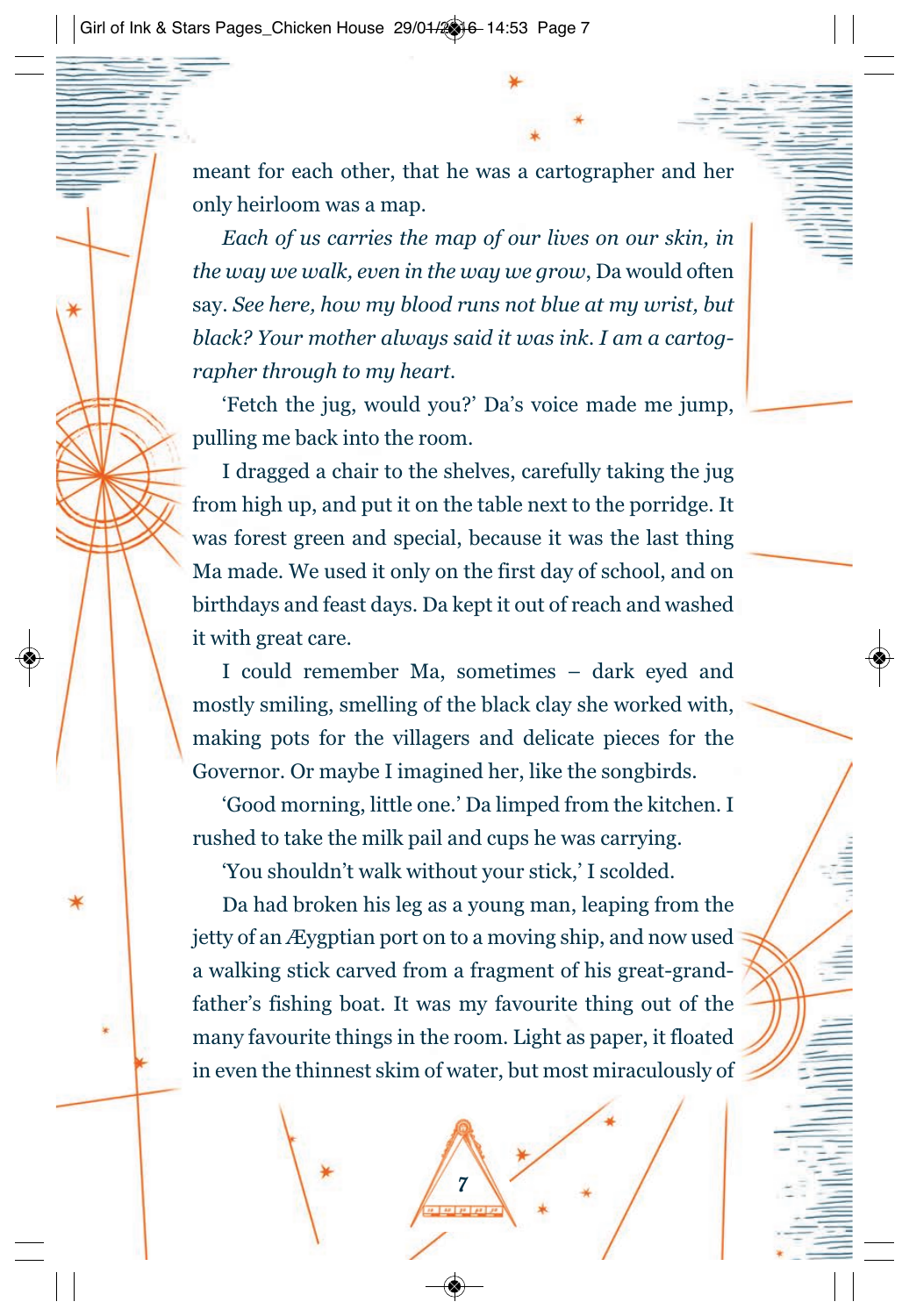meant for each other, that he was a cartographer and her only heirloom was a map.

*Each of us carries the map of our lives on our skin, in the way we walk, even in the way we grow*, Da would often say. *See here, how my blood runs not blue at my wrist, but black? Your mother always said it was ink. I am a cartographer through to my heart.*

'Fetch the jug, would you?' Da's voice made me jump, pulling me back into the room.

I dragged a chair to the shelves, carefully taking the jug from high up, and put it on the table next to the porridge. It was forest green and special, because it was the last thing Ma made. We used it only on the first day of school, and on birthdays and feast days. Da kept it out of reach and washed it with great care.

I could remember Ma, sometimes – dark eyed and mostly smiling, smelling of the black clay she worked with, making pots for the villagers and delicate pieces for the Governor. Or maybe I imagined her, like the songbirds.

'Good morning, little one.' Da limped from the kitchen. I rushed to take the milk pail and cups he was carrying.

'You shouldn't walk without your stick,' I scolded.

Da had broken his leg as a young man, leaping from the jetty of an Æygptian port on to a moving ship, and now used a walking stick carved from a fragment of his great-grand father's fishing boat. It was my favourite thing out of the many favourite things in the room. Light as paper, it floated in even the thinnest skim of water, but most miraculously of